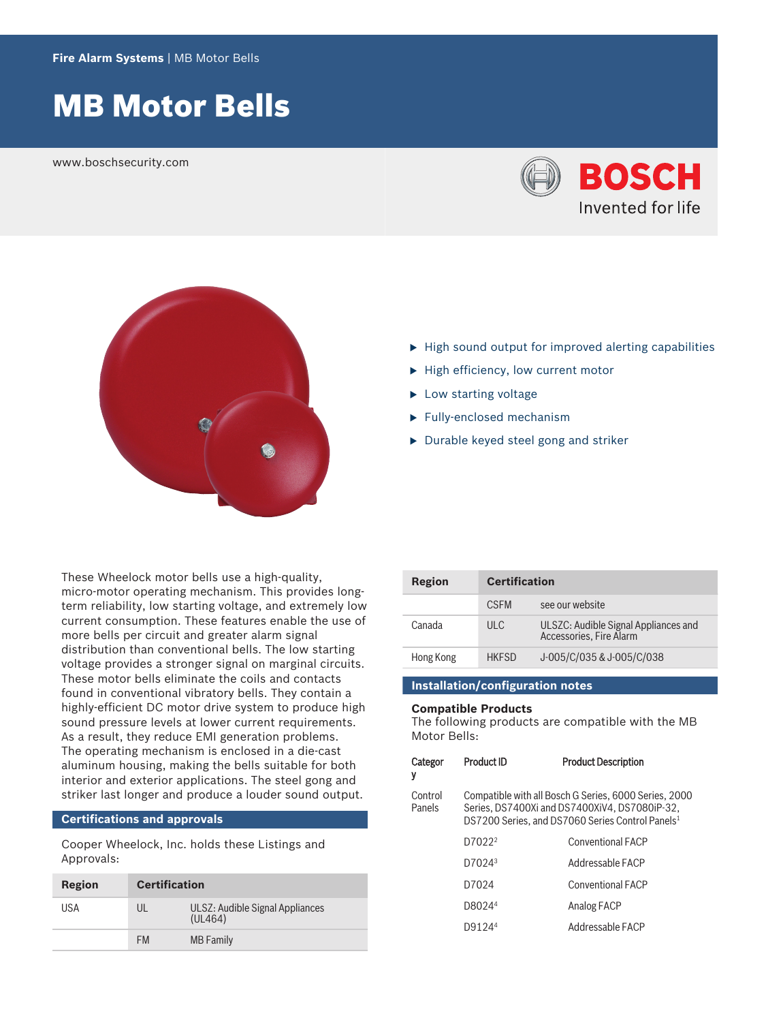# MB Motor Bells

www.boschsecurity.com





- $\blacktriangleright$  High sound output for improved alerting capabilities
- $\blacktriangleright$  High efficiency, low current motor
- $\blacktriangleright$  Low starting voltage
- $\blacktriangleright$  Fully-enclosed mechanism
- $\blacktriangleright$  Durable keyed steel gong and striker

These Wheelock motor bells use a high-quality, micro‑motor operating mechanism. This provides longterm reliability, low starting voltage, and extremely low current consumption. These features enable the use of more bells per circuit and greater alarm signal distribution than conventional bells. The low starting voltage provides a stronger signal on marginal circuits. These motor bells eliminate the coils and contacts found in conventional vibratory bells. They contain a highly-efficient DC motor drive system to produce high sound pressure levels at lower current requirements. As a result, they reduce EMI generation problems. The operating mechanism is enclosed in a die-cast aluminum housing, making the bells suitable for both interior and exterior applications. The steel gong and striker last longer and produce a louder sound output.

#### **Certifications and approvals**

Cooper Wheelock, Inc. holds these Listings and Approvals:

| Region | <b>Certification</b> |                                            |
|--------|----------------------|--------------------------------------------|
| USA    | UL                   | ULSZ: Audible Signal Appliances<br>(UL464) |
|        | <b>FM</b>            | <b>MB</b> Family                           |

| Region    | <b>Certification</b> |                                                                 |
|-----------|----------------------|-----------------------------------------------------------------|
|           | <b>CSEM</b>          | see our website                                                 |
| Canada    | ULC                  | ULSZC: Audible Signal Appliances and<br>Accessories, Fire Alarm |
| Hong Kong | <b>HKFSD</b>         | J-005/C/035 & J-005/C/038                                       |

### **Installation/configuration notes**

# **Compatible Products**

The following products are compatible with the MB Motor Bells:

| Categor<br>y      | <b>Product ID</b>                                                                                                                                                      | <b>Product Description</b> |
|-------------------|------------------------------------------------------------------------------------------------------------------------------------------------------------------------|----------------------------|
| Control<br>Panels | Compatible with all Bosch G Series, 6000 Series, 2000<br>Series, DS7400Xi and DS7400XiV4, DS7080iP-32,<br>DS7200 Series, and DS7060 Series Control Panels <sup>1</sup> |                            |
|                   | D7022 <sup>2</sup>                                                                                                                                                     | <b>Conventional FACP</b>   |
|                   | D7024 <sup>3</sup>                                                                                                                                                     | Addressable FACP           |
|                   | D7024                                                                                                                                                                  | <b>Conventional FACP</b>   |
|                   | D8024 <sup>4</sup>                                                                                                                                                     | Analog FACP                |
|                   | D91244                                                                                                                                                                 | Addressable FACP           |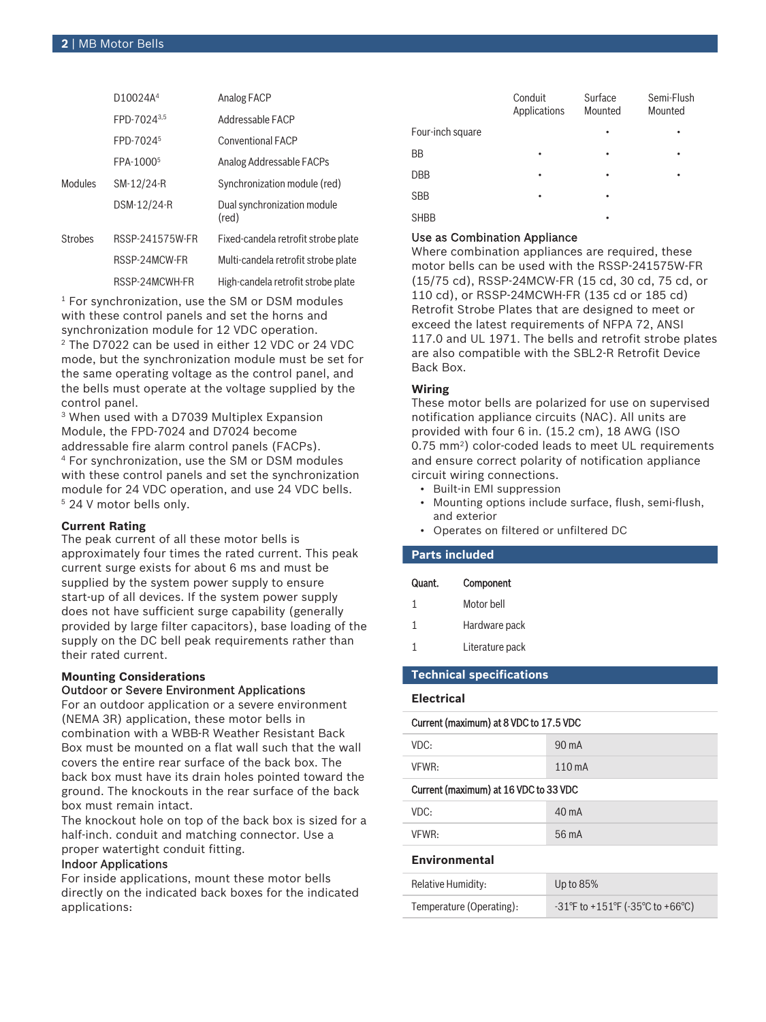|                | D10024A <sup>4</sup>  | Analog FACP                          |
|----------------|-----------------------|--------------------------------------|
|                | FPD-70243,5           | Addressable FACP                     |
|                | FPD-7024 <sup>5</sup> | <b>Conventional FACP</b>             |
|                | FPA-1000 <sup>5</sup> | Analog Addressable FACPs             |
| Modules        | SM-12/24-R            | Synchronization module (red)         |
|                | DSM-12/24-R           | Dual synchronization module<br>(red) |
| <b>Strobes</b> | RSSP-241575W-FR       | Fixed-candela retrofit strobe plate  |
|                | RSSP-24MCW-FR         | Multi-candela retrofit strobe plate  |
|                | RSSP-24MCWH-FR        | High-candela retrofit strobe plate   |

1 For synchronization, use the SM or DSM modules with these control panels and set the horns and synchronization module for 12 VDC operation.

2 The D7022 can be used in either 12 VDC or 24 VDC mode, but the synchronization module must be set for the same operating voltage as the control panel, and the bells must operate at the voltage supplied by the control panel.

3 When used with a D7039 Multiplex Expansion Module, the FPD-7024 and D7024 become addressable fire alarm control panels (FACPs). 4 For synchronization, use the SM or DSM modules with these control panels and set the synchronization module for 24 VDC operation, and use 24 VDC bells. 5 24 V motor bells only.

# **Current Rating**

The peak current of all these motor bells is approximately four times the rated current. This peak current surge exists for about 6 ms and must be supplied by the system power supply to ensure start-up of all devices. If the system power supply does not have sufficient surge capability (generally provided by large filter capacitors), base loading of the supply on the DC bell peak requirements rather than their rated current.

#### **Mounting Considerations** Outdoor or Severe Environment Applications

For an outdoor application or a severe environment (NEMA 3R) application, these motor bells in combination with a WBB‑R Weather Resistant Back Box must be mounted on a flat wall such that the wall covers the entire rear surface of the back box. The back box must have its drain holes pointed toward the ground. The knockouts in the rear surface of the back box must remain intact.

The knockout hole on top of the back box is sized for a half-inch. conduit and matching connector. Use a proper watertight conduit fitting.

# Indoor Applications

For inside applications, mount these motor bells directly on the indicated back boxes for the indicated applications:

|                  | Conduit<br>Applications | Surface<br>Mounted | Semi-Flush<br>Mounted |
|------------------|-------------------------|--------------------|-----------------------|
| Four-inch square |                         |                    |                       |
| <b>BB</b>        |                         |                    |                       |
| <b>DBB</b>       |                         | ٠                  | ٠                     |
| <b>SBB</b>       | ٠                       |                    |                       |
| <b>SHBB</b>      |                         |                    |                       |

# Use as Combination Appliance

Where combination appliances are required, these motor bells can be used with the RSSP‑241575W‑FR (15/75 cd), RSSP‑24MCW‑FR (15 cd, 30 cd, 75 cd, or 110 cd), or RSSP‑24MCWH‑FR (135 cd or 185 cd) Retrofit Strobe Plates that are designed to meet or exceed the latest requirements of NFPA 72, ANSI 117.0 and UL 1971. The bells and retrofit strobe plates are also compatible with the SBL2‑R Retrofit Device Back Box.

# **Wiring**

These motor bells are polarized for use on supervised notification appliance circuits (NAC). All units are provided with four 6 in. (15.2 cm), 18 AWG (ISO 0.75 mm<sup>2</sup>) color-coded leads to meet UL requirements and ensure correct polarity of notification appliance circuit wiring connections.

- Built-in EMI suppression
- Mounting options include surface, flush, semi-flush, and exterior
- Operates on filtered or unfiltered DC

# **Parts included**

| Quant. | Component       |
|--------|-----------------|
| 1      | Motor bell      |
| 1      | Hardware pack   |
| 1      | Literature pack |

# **Technical specifications**

#### **Electrical**

| Current (maximum) at 8 VDC to 17.5 VDC |                                                                           |  |
|----------------------------------------|---------------------------------------------------------------------------|--|
| VDC:                                   | 90 mA                                                                     |  |
| VFWR:                                  | 110 mA                                                                    |  |
| Current (maximum) at 16 VDC to 33 VDC  |                                                                           |  |
| VDC:                                   | $40 \text{ mA}$                                                           |  |
| VFWR:                                  | 56 mA                                                                     |  |
| <b>Environmental</b>                   |                                                                           |  |
| Relative Humidity:                     | Up to 85%                                                                 |  |
| Temperature (Operating):               | $-31^{\circ}$ F to $+151^{\circ}$ F ( $-35^{\circ}$ C to $+66^{\circ}$ C) |  |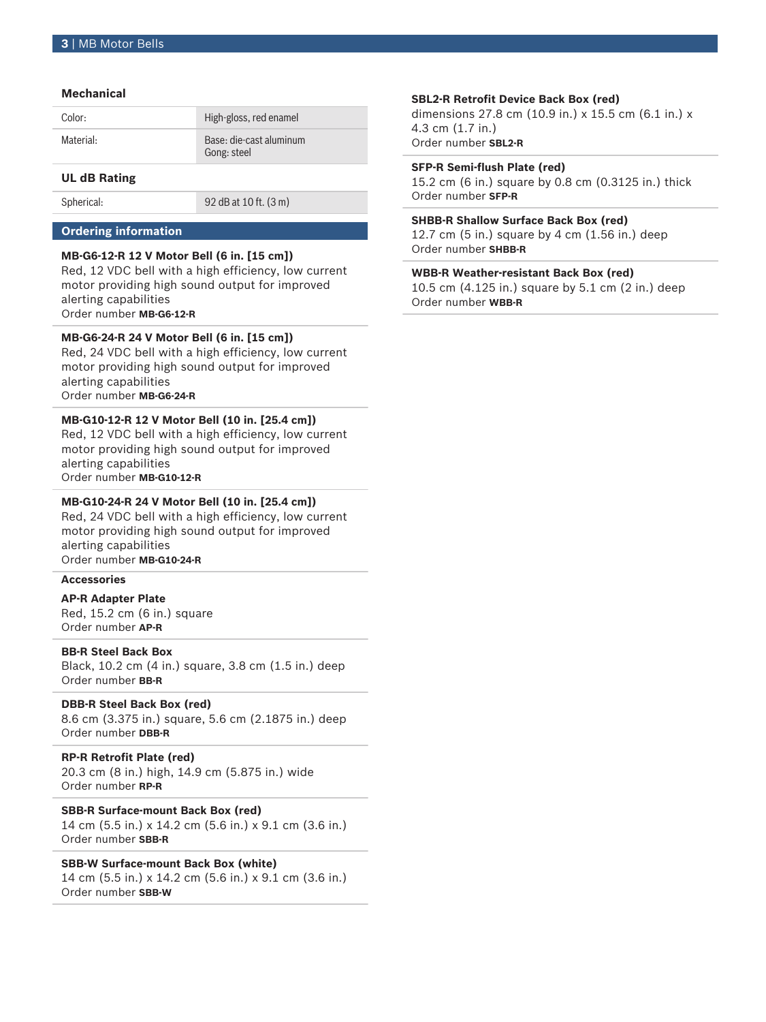### **Mechanical**

| Color:    | High-gloss, red enamel                 |
|-----------|----------------------------------------|
| Material: | Base: die-cast aluminum<br>Gong: steel |

# **UL dB Rating**

Spherical: 92 dB at 10 ft. (3 m)

### **Ordering information**

### **MB‑G6‑12‑R 12 V Motor Bell (6 in. [15 cm])**

Red, 12 VDC bell with a high efficiency, low current motor providing high sound output for improved alerting capabilities Order number **MB-G6-12-R**

#### **MB‑G6‑24‑R 24 V Motor Bell (6 in. [15 cm])**

Red, 24 VDC bell with a high efficiency, low current motor providing high sound output for improved alerting capabilities Order number **MB-G6-24-R**

#### **MB‑G10‑12‑R 12 V Motor Bell (10 in. [25.4 cm])**

Red, 12 VDC bell with a high efficiency, low current motor providing high sound output for improved alerting capabilities Order number **MB-G10-12-R**

#### **MB‑G10‑24‑R 24 V Motor Bell (10 in. [25.4 cm])**

Red, 24 VDC bell with a high efficiency, low current motor providing high sound output for improved alerting capabilities Order number **MB-G10-24-R**

# **Accessories**

**AP‑R Adapter Plate** Red, 15.2 cm (6 in.) square

Order number **AP-R**

# **BB‑R Steel Back Box**

Black, 10.2 cm (4 in.) square, 3.8 cm (1.5 in.) deep Order number **BB-R**

#### **DBB‑R Steel Back Box (red)**

8.6 cm (3.375 in.) square, 5.6 cm (2.1875 in.) deep Order number **DBB-R**

# **RP‑R Retrofit Plate (red)**

20.3 cm (8 in.) high, 14.9 cm (5.875 in.) wide Order number **RP-R**

# **SBB‑R Surface‑mount Back Box (red)**

14 cm (5.5 in.) x 14.2 cm (5.6 in.) x 9.1 cm (3.6 in.) Order number **SBB-R**

# **SBB‑W Surface‑mount Back Box (white)**

14 cm (5.5 in.) x 14.2 cm (5.6 in.) x 9.1 cm (3.6 in.) Order number **SBB-W**

#### **SBL2‑R Retrofit Device Back Box (red)**

dimensions 27.8 cm (10.9 in.) x 15.5 cm (6.1 in.) x 4.3 cm (1.7 in.) Order number **SBL2-R**

#### **SFP‑R Semi‑flush Plate (red)**

15.2 cm (6 in.) square by 0.8 cm (0.3125 in.) thick Order number **SFP-R**

#### **SHBB‑R Shallow Surface Back Box (red)**

12.7 cm (5 in.) square by 4 cm (1.56 in.) deep Order number **SHBB-R**

# **WBB‑R Weather‑resistant Back Box (red)**

10.5 cm (4.125 in.) square by 5.1 cm (2 in.) deep Order number **WBB-R**